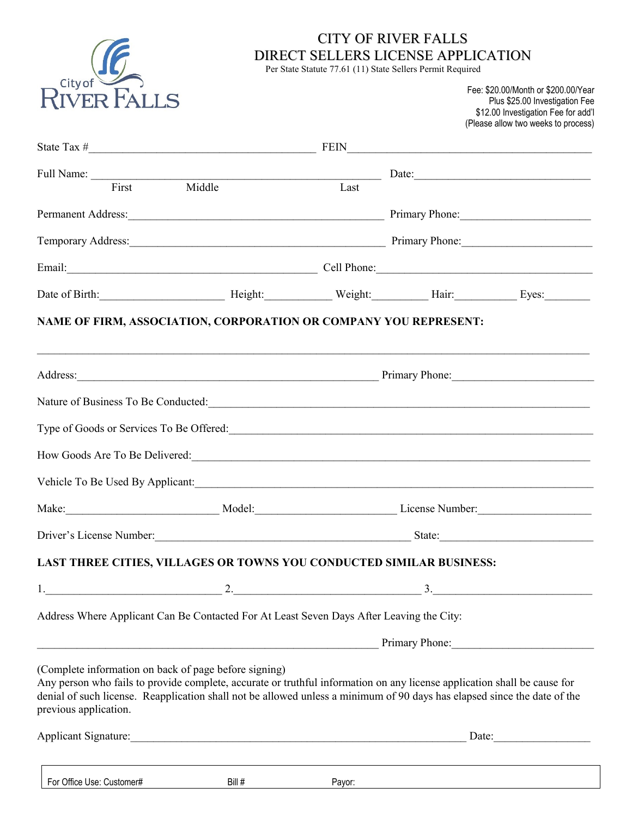

## CITY OF RIVER FALLS DIRECT SELLERS LICENSE APPLICATION

Per State Statute 77.61 (11) State Sellers Permit Required

Fee: \$20.00/Month or \$200.00/Year Plus \$25.00 Investigation Fee \$12.00 Investigation Fee for add'l (Please allow two weeks to process)

| Full Name: First Middle Last Date: Last Date:                                                                                                                                                                                                                                                                                          |                                        |        |                |  |  |
|----------------------------------------------------------------------------------------------------------------------------------------------------------------------------------------------------------------------------------------------------------------------------------------------------------------------------------------|----------------------------------------|--------|----------------|--|--|
|                                                                                                                                                                                                                                                                                                                                        |                                        |        |                |  |  |
|                                                                                                                                                                                                                                                                                                                                        |                                        |        |                |  |  |
| Temporary Address: Manual Communication of Primary Phone: Manual Communication of Primary Phone:                                                                                                                                                                                                                                       |                                        |        |                |  |  |
| Email: Cell Phone: Cell Phone:                                                                                                                                                                                                                                                                                                         |                                        |        |                |  |  |
| Date of Birth: Eyes: Eyes: Eyes: Eyes: Eyes: Eyes: Eyes: Eyes: Eyes: Eyes: Eyes: Eyes: Eyes: Eyes: Eyes: Eyes: Eyes: Eyes: Eyes: Eyes: Eyes: Eyes: Eyes: Eyes: Eyes: Eyes: Eyes: Eyes: Eyes: Eyes: Eyes: Eyes: Eyes: Eyes: Eye                                                                                                         |                                        |        |                |  |  |
| NAME OF FIRM, ASSOCIATION, CORPORATION OR COMPANY YOU REPRESENT:                                                                                                                                                                                                                                                                       |                                        |        |                |  |  |
|                                                                                                                                                                                                                                                                                                                                        | Address: Primary Phone: Primary Phone: |        |                |  |  |
| Nature of Business To Be Conducted:                                                                                                                                                                                                                                                                                                    |                                        |        |                |  |  |
|                                                                                                                                                                                                                                                                                                                                        |                                        |        |                |  |  |
|                                                                                                                                                                                                                                                                                                                                        |                                        |        |                |  |  |
|                                                                                                                                                                                                                                                                                                                                        |                                        |        |                |  |  |
| Make: Make: Model: Model: Model: License Number: Muncher Muncher Muncher Muncher Muncher Muncher Muncher Muncher Muncher Muncher Muncher Muncher Muncher Muncher Muncher Muncher Muncher Muncher Muncher Muncher Muncher Munch                                                                                                         |                                        |        |                |  |  |
| Driver's License Number:<br><u>Driver's License Number:</u>                                                                                                                                                                                                                                                                            |                                        |        |                |  |  |
| LAST THREE CITIES, VILLAGES OR TOWNS YOU CONDUCTED SIMILAR BUSINESS:                                                                                                                                                                                                                                                                   |                                        |        |                |  |  |
| $2.$ $2.$ $3.$                                                                                                                                                                                                                                                                                                                         |                                        |        |                |  |  |
| Address Where Applicant Can Be Contacted For At Least Seven Days After Leaving the City:                                                                                                                                                                                                                                               |                                        |        |                |  |  |
|                                                                                                                                                                                                                                                                                                                                        |                                        |        | Primary Phone: |  |  |
| (Complete information on back of page before signing)<br>Any person who fails to provide complete, accurate or truthful information on any license application shall be cause for<br>denial of such license. Reapplication shall not be allowed unless a minimum of 90 days has elapsed since the date of the<br>previous application. |                                        |        |                |  |  |
|                                                                                                                                                                                                                                                                                                                                        |                                        |        | Date:          |  |  |
| For Office Use: Customer#                                                                                                                                                                                                                                                                                                              | Bill #                                 | Payor: |                |  |  |